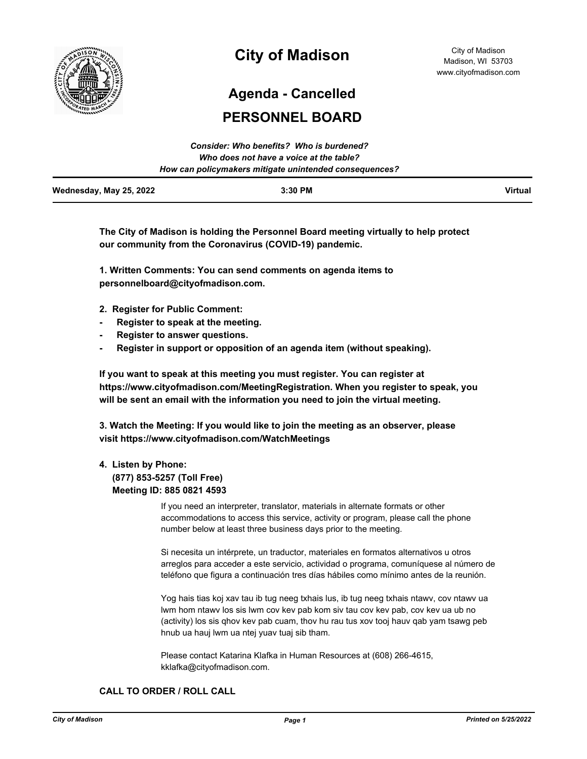

# **City of Madison**

**Agenda - Cancelled**

# **PERSONNEL BOARD**

|                         | Consider: Who benefits? Who is burdened?               |                |
|-------------------------|--------------------------------------------------------|----------------|
|                         | Who does not have a voice at the table?                |                |
|                         | How can policymakers mitigate unintended consequences? |                |
| Wednesday, May 25, 2022 | $3:30$ PM                                              | <b>Virtual</b> |

**The City of Madison is holding the Personnel Board meeting virtually to help protect our community from the Coronavirus (COVID-19) pandemic.**

**1. Written Comments: You can send comments on agenda items to personnelboard@cityofmadison.com.** 

- **2. Register for Public Comment:**
- **- Register to speak at the meeting.**
- **- Register to answer questions.**
- **- Register in support or opposition of an agenda item (without speaking).**

**If you want to speak at this meeting you must register. You can register at https://www.cityofmadison.com/MeetingRegistration. When you register to speak, you will be sent an email with the information you need to join the virtual meeting.**

**3. Watch the Meeting: If you would like to join the meeting as an observer, please visit https://www.cityofmadison.com/WatchMeetings**

## **4. Listen by Phone:**

 **(877) 853-5257 (Toll Free) Meeting ID: 885 0821 4593**

> If you need an interpreter, translator, materials in alternate formats or other accommodations to access this service, activity or program, please call the phone number below at least three business days prior to the meeting.

Si necesita un intérprete, un traductor, materiales en formatos alternativos u otros arreglos para acceder a este servicio, actividad o programa, comuníquese al número de teléfono que figura a continuación tres días hábiles como mínimo antes de la reunión.

Yog hais tias koj xav tau ib tug neeg txhais lus, ib tug neeg txhais ntawv, cov ntawv ua lwm hom ntawv los sis lwm cov kev pab kom siv tau cov kev pab, cov kev ua ub no (activity) los sis qhov kev pab cuam, thov hu rau tus xov tooj hauv qab yam tsawg peb hnub ua hauj lwm ua ntej yuav tuaj sib tham.

Please contact Katarina Klafka in Human Resources at (608) 266-4615, kklafka@cityofmadison.com.

## **CALL TO ORDER / ROLL CALL**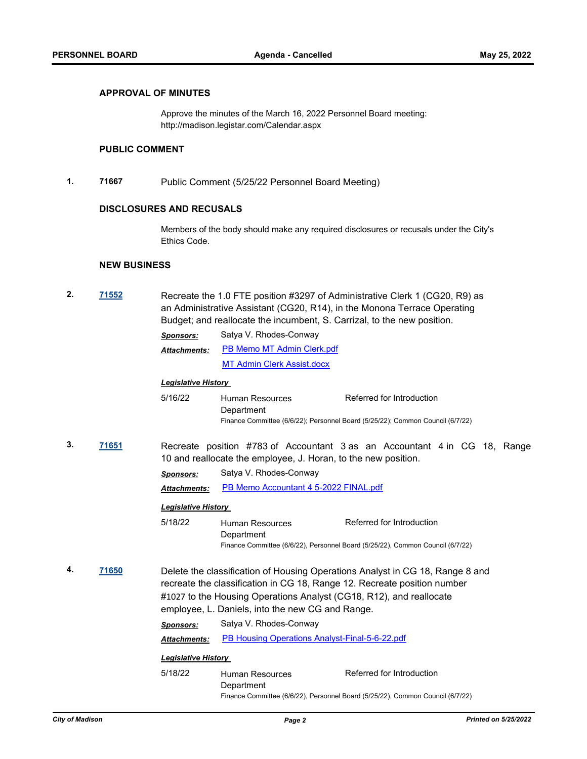#### **APPROVAL OF MINUTES**

Approve the minutes of the March 16, 2022 Personnel Board meeting: http://madison.legistar.com/Calendar.aspx

#### **PUBLIC COMMENT**

**1. 71667** Public Comment (5/25/22 Personnel Board Meeting)

#### **DISCLOSURES AND RECUSALS**

Members of the body should make any required disclosures or recusals under the City's Ethics Code.

#### **NEW BUSINESS**

**2. [71552](http://madison.legistar.com/gateway.aspx?m=l&id=/matter.aspx?key=83442)** Recreate the 1.0 FTE position #3297 of Administrative Clerk 1 (CG20, R9) as an Administrative Assistant (CG20, R14), in the Monona Terrace Operating Budget; and reallocate the incumbent, S. Carrizal, to the new position.

| Sponsors:    | Satya V. Rhodes-Conway            |  |
|--------------|-----------------------------------|--|
| Attachments: | <b>PB Memo MT Admin Clerk.pdf</b> |  |
|              | <b>MT Admin Clerk Assist.docx</b> |  |

#### *Legislative History*

| 5/16/22 | Human Resources                                                                | Referred for Introduction |  |
|---------|--------------------------------------------------------------------------------|---------------------------|--|
|         | Department                                                                     |                           |  |
|         | Finance Committee (6/6/22); Personnel Board (5/25/22); Common Council (6/7/22) |                           |  |

**3. [71651](http://madison.legistar.com/gateway.aspx?m=l&id=/matter.aspx?key=83521)** Recreate position #783 of Accountant 3 as an Accountant 4 in CG 18, Range 10 and reallocate the employee, J. Horan, to the new position.

*Sponsors:* Satya V. Rhodes-Conway

*Attachments:* [PB Memo Accountant 4 5-2022 FINAL.pdf](http://madison.legistar.com/gateway.aspx?M=F&ID=6e8abfb3-01bb-4a70-ab7f-849f52abaa0c.pdf)

#### *Legislative History*

- 5/18/22 Human Resources **Department** Referred for Introduction Finance Committee (6/6/22), Personnel Board (5/25/22), Common Council (6/7/22)
- **4. [71650](http://madison.legistar.com/gateway.aspx?m=l&id=/matter.aspx?key=83520)** Delete the classification of Housing Operations Analyst in CG 18, Range 8 and recreate the classification in CG 18, Range 12. Recreate position number #1027 to the Housing Operations Analyst (CG18, R12), and reallocate employee, L. Daniels, into the new CG and Range.

| Satya V. Rhodes-Conway |
|------------------------|
|                        |

*Attachments:* [PB Housing Operations Analyst-Final-5-6-22.pdf](http://madison.legistar.com/gateway.aspx?M=F&ID=5b0e9ad1-b79a-41fe-9954-f05ae1b4f3af.pdf)

#### *Legislative History*

5/18/22 Human Resources **Department** Referred for Introduction Finance Committee (6/6/22), Personnel Board (5/25/22), Common Council (6/7/22)